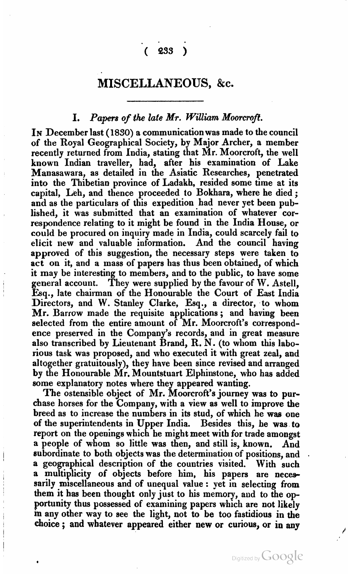## $(233)$

### **MISCELLANEOUS,** *&.c.*

#### **I.** Papers of the late Mr. William Moorcroft.

IN December last (1850) a communication was made to the council of the Royal Geographical Society, by Major Archer, a member recently returned from India, stating that Mr. Moorcroft, the well known Indian traveller, had, after his examination of Lake Manasawara, as detailed in the Asiatic Researches, penetrated into the Thibetian province of Ladakh, resided some time at its capital, Leh, and thence proceeded to Bokhara, where he died; and as the particulars of this expedition had never yet been published, it was submitted that an examination of whatever correspondence relating to it might be found in the India House, or could be procured on inquiry made in India, could scarcely fail to elicit new and valuable information. And the council having approved of this suggestion, the necessary steps were taken to act on it, and a mass of papers has thus been obtained, of which it may be interesting to members, and to the public, to have some general account. They were supplied by the favour of W. Astell, Esq., late chairman of the Honourable the Court of East India Directors, and W. Stanley Clarke, Esq., a director, to whom Mr. Barrow made the requisite applications ; and having been selected from the entire amount of Mr. Moorcroft's correspondence preserved in the Company's records, and in great measure also transcribed by Lieutenant Brand, R. N. (to whom this laborious task was proposed, and who executed it with great zeal, and altogether gratuitously), they have been since revised and arranged by the Honourable Mr. Mountstuart Elphinstone, who has added some explanatory notes where they appeared wanting.

The ostensible object of Mr. Moorcroft's journey was to purchase horses for the Company, with a view as well to improve the breed as to increase the numbers in its stud, of which he was one of the superintendents in Upper India. Besides this, he was to report on the openings which he might meet with for trade amongst a people of whom so little was then, and still is, known. And subordinate to both objects was the determination of positions, and . a geographical description of the countries visited. With such a multiplicity of objects before him, his papers are necessarily miscellaneous and of unequal value : yet in selecting from them it has been thought only just to his memory, aud to the opportunity thus possessed of examining papers which are not likely **m** any other way to see the light, not to be too fastidious in the choice ; and whatever appeared either new or curious, or in any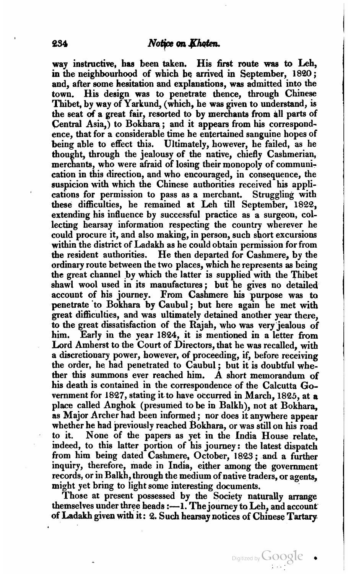way instructive, has been taken. His first route **was to** Leh, in the neighbourhood of which be arrived in September, 1830 ; and, after some hesitation and explanations, was admitted into the town. His design was to penetrate thence, through Chinese Thibet, by way of Yarkund, (which, he was given to understand, is the seat of a great fair, resorted to by merchants from all parts of Central Asia,) to Bokhara; and it appears from his correspondence, that for a considerable time he entertained sanguine hopes of being able to effect thia. Ultimately, however, he failed, as he thought, through the jealousy of the native, chiefly Cashmerian, merchants, who were afraid of losing their monopoly of communication in this direction, and who encouraged, in consequence, the suspicion with which the Chinese authorities received his applications for permission to pass as a merchant. Struggling with these difficulties, he remained at Leh till September, 1822, extending his influence by successful practice as a surgeon, collecting hearsay information respecting the country wherever he could procure it, and also making, in person, such short excursions within the district of Ladakh as he could obtain permission for from the resident authorities. He then departed for Cashmere, by the ordinary route between the two places, which he represents as being the great channel by whicb the latter is supplied with the Thibet shawl wool used in its manufactures; but he gives no detailed account of his journey. From Cashmere his purpose was to penetrate to Bokhara by Caubul; but here again he met with great difficulties, and was ultimately detained another year there, to the great dissatisfaction of the Rajah, who was very jealous of him. Early in the year 1824, it is mentioned in a letter from Lord Amherst to the Court of Directors, that he was recalled, with a discretionary power, however, of proceeding, if, before receiving the order, he had penetrated to Caubul ; but it is doubtful whether this summons ever reached him. A short memorandum of his death is contained in the correspondence of the Calcutta Government for 1837, stating it to have occurred in March, 1885, at **a**  place called Anghok (presumed to be in Balkh), not at Bokhara, as Major Archer had been informed ; nor does it anywhere appear whether he had previously reached Bokhara, or was still on his road to it. None of the papers as yet in the India House relate, indeed, to this latter portion of his journey: the latest dispatch from him being dated Cashmere, October, 1823; and a further inquiry, therefore, made in India, either among the government records, or in Balkh, through the medium of native traders, or agents, might yet bring to light some interesting documents.

Those at present possessed by the Society naturally arrange themselves under three heads **:--1.** The journey to Leh, and account of Ladakh given with it: **2.** Such hearsay notices of Chinese **Tartary** 

Digitized by  $\bigcup OOQ$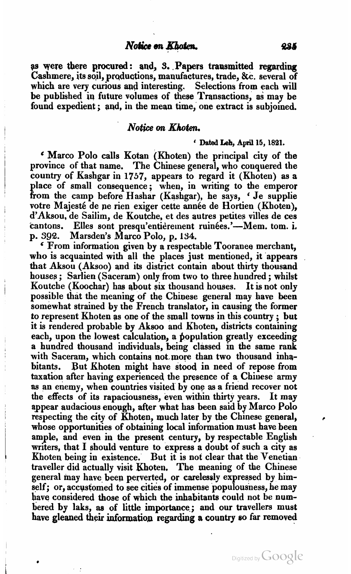#### Notice on Khoten.

as were there procured: and, 3. Papers transmitted regarding Cashmere, its soil, productions, manufactures, trade, &c. several of which are very curious and interesting. Selections from each will be published in future volumes of these Transactions, as may be found expedient; and, in the mean time, one extract is subjoined.

# Notice on **Khoten.**<br>Chated Leb, April 15, 1821.

' Marco Polo calls Kotan (Khoten) the principal city of the province of that name. The Chinese general, who conquered the country of Kashgar in 1757, appears to regard it (Khoteu) as a place of small consequence; when, in writing to the emperor from the camp before Hashar (Kashgar), he says, 'Je supplie votre Majesté de ne rien exiger cette année de Hortien (Khoten). d'Aksou, de Sailim, de Koutche, et des autres petites villes de ces cantons. Elles sont presqu'entièrement ruinées.'—Mem. tom. i.<br>p. 392. Marsden's Marco Polo, p. 134.

<sup>c</sup> From information given by a respectable Tooranee merchant, who is acquainted with all the places just mentioned, it appears that Aksou (Aksoo) and its district contain about thirty thousand houses ; Sarlien (Saceram) only from two to three hundred ; whilst houses; Sarlien (Saceram) only from two to three hundred; whilst<br>Koutche (Koochar) has about six thousand houses. It is not only possible that the meaning of the Chinese general may have been somewhat strained by the French translator, in causing the former to represent Khoten as one of the small towns in this country ; but it is rendered probable by Aksoo and Khoten, districts containing each, upon the lowest calculation, a population greatly exceeding a hundred thousand individuals, being classed in the same rank with Saceram, which contains not more than two thousand inhabitants. But Khoten might have stood in need of repose from taxation after having experienced the presence of a Chiuese army **as** an enemy, when countries visited by one as a friend recover not the effects of its rapaciousness, even within thirty years. It may appear audacious enough, after what has been said by Marco Polo respecting the city of Khoten, much later by the Chinese general, whose opportunities of obtaining local information must have been ample, and even in the present century, by respectable English writers, that  $I$  should venture to express a doubt of such a city as Khoten being in existence. But it is not clear that the Venetian traveller did actually visit Khoten, The meaning of the Chinese general may have been perverted, or carelessly expressed by himself; or, accystomed to see cities of immense populousness, he may have considered those of which the inhabitants could not be numbered by laks, **as** of little importance; and our travellers must have gleaned their information regarding a country so far removed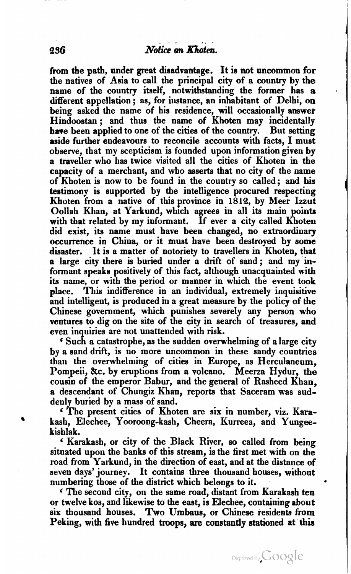from the path, under great disadvantage. It is not uncommon for the natives of Asia to call the principal city of a country by the name of the country itself, notwithstanding the former has a different appellation ; as, for instance, an inhabitant of Delhi, on being asked the name of his residence, will occasionally answer Hindoostan ; and thus the name of Khoten may incidentally have been applied to one of the cities of the country. But setting aside further endeavours to reconcile accounts with facts, I must observe, that my scepticism is founded upon information given **by**  a traveller who has twice visited all the cities of Khoten in the capacity of a merchant, and who asserts that no city of the name of Khoten is now to be found in the country so called; and **bis**  testimony is supported by the intelligence procured respecting Khoten from a native of this province in 1813, by Meer Izzut Oollah Khan, at Yarkund, which agrees in all its main points with that related by my informant. If ever a city called Khoten did exist, its name must have been changed, no extraordinary occurrence in China, or it must have been destroyed by some disaster. It is a matter of notoriety to travellers in Khoten, that a large city there is buried under a drift of sand; and my informant speaks positively of this fact, although unacquainted with its name, or with the period or manner in which the event took place. This inditierence in an individual, extremely inquisitive and intelligent, is produced in a great measure by the policy of the Chinese government, which punishes severely any person who ventures to dig on the site of the city in search of treasures, and even inquiries are not unattended with risk.

Such a catastrophe, as the sudden overwhelming of a large city by a sand drift, is no more uncommon in these sandy countries than the overwhelniing of cities in Europe, as Herculaneum, Pompeii, &c. by eruptions from a volcano. Meerza Hydur, the cousin of the emperor Babur, and the general of Rasheed Khan, a descendant of Chungiz Khan, reports that Saceram was sud-

The present cities of Khoten are six in number, viz. Karakash, Elechee, Yooroong-kash, Cheera, Kurreea, and Yungee-

kishlak. ' Karakash, or city of the Black River, so called from being situated upon the banks of this stream, is the first met with on the road from Yarkund, in the direction of east, and at the distance of seven days' journey. It contains three thousand houses, withont numbering those of the district which belongs to it.<br>
In second city, on the same road, distant from Karakash ten

or twelve kos, and likewise to the east, is Elechee, containing about six thousand houses. Two Umbaus, or Chinese residents from Peking, with five hundred troops, are constantly stationed **at** this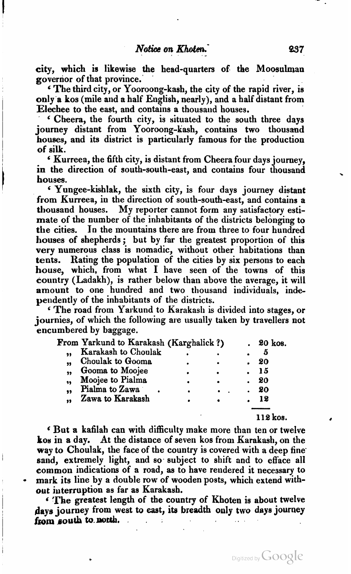city, which is likewise the head-quarten of the Moosulman governor of that province.<br>
'The third city, or Yooroong-kash, the city of the rapid river, is

only a kos (mile and a half English, nearly), and a half distant from<br>Elechee to the east, and contains a thousand houses.

Cheera, the fourth city, is situated to the south three days journey distant from Yooroong-kash, contains two thousand houses, and its district is particularly famous for the production of silk.

' Kurreea, the fifth city, is distant from Cheera four days journey. in the direction of south-south-east, and contains four thousand houses.

<sup>f</sup>' Yungee-kishlak, the sixth city, is four days journey distant from Kurreea, in the direction of south-south-east, and contains a thousand houses. My reporter cannot form any satisfactory estimate of the number of the inhabitants of the districts belonging to the cities. **In** the mountains there are from three to four hundred houses of shepherds ; but by far the greatest proportion of this very numerous class is nomadic, without other habitations than tents. Rating the population of the cities by six persons to each house, which, from what I have seen of the towns of this country (Ladakh), is rather below than above the average, it will amount to one hundred and two thousand individuals, independently of the inhabitants of the districts.

The road from Yarkund to Karakasli is divided into stages, or journies, of which the following are usually taken by travellers not encumbered by baggage.

|    | -------                                |           |         |
|----|----------------------------------------|-----------|---------|
|    | From Yarkund to Karakash (Karghalick?) |           | 20 kos. |
| ,, | <b>Karakash to Choulak</b>             |           | 5       |
| ,, | Choulak to Gooma                       |           | 20      |
| ,, | Gooma to Moojee                        | $\bullet$ | 15      |
| 99 | Moojee to Pialma                       |           | 20      |
| 99 | Pialma to Zawa                         |           | 20      |
| 99 | Zawa to Karakash                       |           | 12      |
|    |                                        |           |         |
|    |                                        |           | 119 kos |

But a kafilah can with difficulty make more than ten or twelve kos in a day. At the distance of seven kos from Karakash, on the way to Choulak, the face of the country is covered with a deep fine. sand, extremely light, and so subject to shift and to efface all common indications of a road, as to have reudered it necessary to mark its line by a double **row** of wooden posts, which extend without interruption as far as Karakash.

**<sup>6</sup>'me** greatest length of the country of Khoten is about twelve days journey from west to east, its breadth only two days journey from south to north.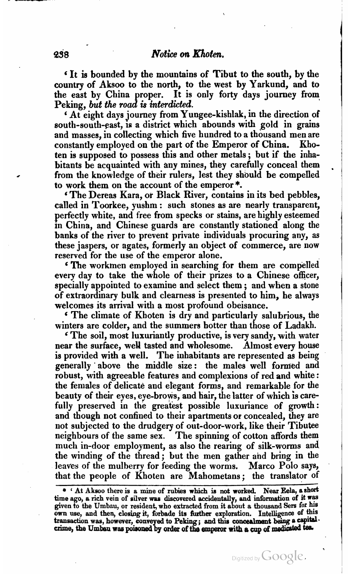It is bounded by the mountains of Tibut to the south, by the country of Aksoo to the north, to the west by Yarkund, and to the east by China proper. It is only forty days journey from Peking, but the road is interdicted.

At eight days journey from Yungee-kishlak, in the direction of south-south-east, **is** a district which abounds with gold in grains and masses, in collecting which five hundred to a thousand men are<br>constantly employed on the part of the Emperor of China. Khoconstantly employed on the part of the Emperor of China. ten is supposed to possess this and other metals ; but if the inhabitants be acquainted with any mines, they carefully conceal them from the knowledge of their rulers, lest they should be compelled to work them on the account of the emperor \*.

'The Dereas Kara, or Black River, contains in its bed pebbles, called in Toorkee, yushm : such stones as are nearly transparent, perfectly white, and free from specks or stains, are highly esteemed **in** China, and Chinese guards are constantly stationed along the banks of the river to prevent private individuals procuring any, **as**  these jaspers, or agates, formerly an object of commerce, are now reserved for the use of the emperor alone.

The workmen employed in searching for them are compelled every day to take the whole of their prizes to a Chinese officer, specially appointed to examine and select them ; and when a stone of extraordinary bulk and clearness is presented to him, he always welcomes its arrival with a most profound obeisance.

The climate of Khoten is dry and particularly salubrious, the winters are colder, and the summers botter than those of Ladakh.<br>
In eventy sandy, with water

near the surface, well tasted and wholesome. Almost every house is provided with a well. The inhabitants are represented as being generally above the middle size: the males well formed and robust, with agreeable features and complexions of red and white : the females of delicate and elegant forms, and remarkable for the beauty of their eyes, eye-brows, and hair, the latter of which is carefully preserved in the greatest possible luxuriance of growth : and though not confined to their apartments or concealed, they are not subjected to the drudgery of out-door-work, like their Tibutee neighbours of the same sex. The spinning of cotton affords them much in-door employment, as also the rearing of silk-worms and the winding of the thread; but the men gather and bring in the leaves of the mulberry for feeding the worms. Marco Polo says, that the people of Khoten are Mahometans; the translator of

<sup>\* &#</sup>x27; **At Aksoo there is a mine of rubies which ir not worked. Near Eela, a short**  time ago, a rich vein of silver was discovered accidentally, and information of it was given to the Umbau, or resident, who extracted from it about a thousand Sers for his own use, and then, closing it, forbade its further exploration. Intelligence of this transaction was, however, conveyed to Peking; and this concealment being a capital. crime, the Umbau was poisoned by order of the emperor with a cup of medicated tea.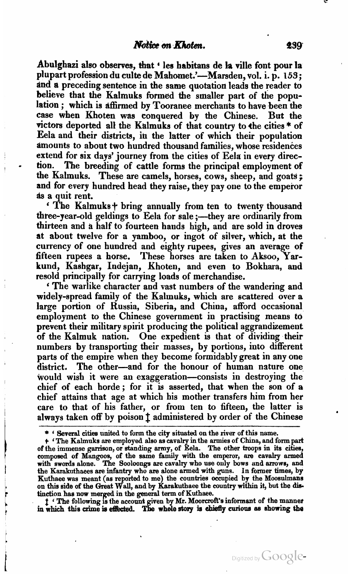Abulghazi also observes, that ' les habitans de la ville font pour la plupart profession du culte de Mahomet.'-Marsden, vol. i. p. 153; and a preceding sentence in the same quotation leads the reader to believe that the Kalmuks formed the smaller part of the population ; which is affirmed by Tooranee merchants to have been the case when Khoten was conquered by the Chinese. But the victors deported all the Kalmuks of that country to the cities \* of Eela and their districts, **in** the latter of which their population amounts to about two hundred thousand families, whose residences extend for six days' journey from the cities of Eela in every direction. The breeding of cattle forms the principal employment of extend for six days' journey from the cities of Eela in every direction. The breeding of cattle forms the principal employment of<br>the Kalmuks. These are camels, horses, cows, sheep, and goats;<br>and for every hundred had the and for every hundred head they raise, they pay one to the emperor as a quit rent.

' The Kalmuks+ bring annually from ten to twenty thousand three-year-old geldings to Eela for sale ;—they are ordinarily from thirteen and a half to fourteen hands high, and are sold in droves at about twelve for a yamboo, or ingot of silver, which, at the currency of one hundred and eighty rupees, gives an average of fifteen rupees a horse. These horses are taken to Aksoo, **Yar**kund, Kashgar, Indejan, Khoten, and even to Bokhara, and resold principally for carrying loads of merchandise.

' The warlike character and vast numbers of the wandering and widely-spread family of the Kalmuks, which are scattered over a large portion of Russia, Siberia, and China, afford occasional employment to the Chinese government in practising means to prevent their military spirit producing the political aggrandizement of the Kalmuk nation. One expedient is that of dividing their numbers by transporting their masses, by portions, into different parts of the empire when they become formidably great in any one district. The other-and for the honour of human nature one would wish it were an exaggeration-consists in destroying the chief of each horde; for it **iy** asserted, that when the son of a chief attains that age at which his mother transfers him from her care to that of his father, or from ten to fifteen, the latter is always taken off by poison **f** administered by order of the Chinese

tinction has now merged in the general term of Kuthaee.<br>
I ' The following is the account given by Mr. Moorcroft's informant of the manner<br>
in which this crime is effected. The whole story is chiefly curious as showing the

<sup>\* \*</sup> Several cities united to form the city situated on the river of this name.<br>\* \* The Kalmuks are employed also as cavalry in the armies of China, and form part<br>of the immense garrison, or standing army, of Eela. The othe composed of Mangoos, of the same family with the emperor, **am** cavalry armed with swords alone. The Sooloongs are cavalry who **use** only bows and armws, and the Karakuthaees **are** infantry who are alone armed with guns. In former times, by Kuthaee was meant (as reported to me) the countries occupied by the Moosulmans on this side of the Great Wall, and by Karakuthaee the country within it, but the dis-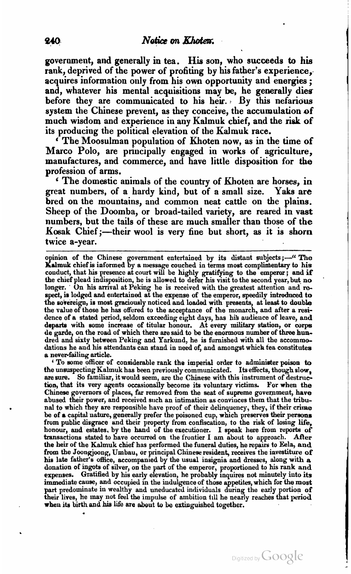government, and generally in tea. His son, who succeeds to hia rank, deprived of the power of profiting by his father's experience, acquires information only from his own opportunity and energies; and, whatever his mental acquisitions may be, he generally dies before they are communicated to his heir. By this nefarious system the Chinese prevent, as they conceive, the accumulation of much wisdom and experience in any Kalmuk chief, and the risk of its producing the political elevation of the Kalmuk race.

<sup>c</sup> The Moosulman population of Khoten now, as in the time of Marco Polo, are principally engaged in works of agriculture, manufactures, and commerce, and have little disposition for the profession of arms.

The domestic animals of the country of Khoten are horses, in great numbers, of a hardy kind, but of a small size. Yaks are bred on the mountains, **and** common neat cattle on the plains. Sheep of the Doomba, or broad-tailed variety, are reared in vast numbers, but the tails of these are much smaller than those of the Kosak Chief;—their wool is very fine but short, as it is shorn twice a-year.

opinion of the Chinese government entertained by its distant subjects;—" The **Kalmuk** chief is informed by a message couched in terms most complimentary to his conduct, that his presence at court will be highly gratifying to the emperor; and if the chief plead indisposition, he is allowed to defer his visit to the second year, but **no**  longer. On his arrival at Peking he is received with the greatest attention and re-<br>spect, is lodged and entertained at the expense of the emperor, speedily introduced to the sovereign, is most graciously noticed and loaded with presents, at least to double the value of those he has offered to the acceptance of the monarch, and after a residence of a stated period, seldom exceeding eight days, has his audience of leave, and<br>departs with some increase of titular honour. At every military station, or corps<br>de garde, on the road of which there are said to be th dred and sixty between Peking and Yarkund, he is furnished with all the accommodations he aud his attendants can stand in need of, and amongst which tea constitutes a never-failing article.

To some officer of considerable rank the imperial order to administer poison to the unsuspecting Kalmuk has been previously communicated. Its effects, though slow, are sure. So familiar, it would seem, are the Chinese with this instrument of destruction, that its very agents occasionally become its voluntary victims. For when the Chinese governors of places, far removed from the seat of supreme government, have abused their power, and received such an intimation as conviuces them that the tribunal to which they are responsible have proof of their delinquency, they, if their crime be of a capital uature, generally prefer the poisoned cup, which preserves their peraons from public disgrace and their property from confiscation, to the risk of losiug life, honour, and estates. by the hand of the executioner. I speak here from reports of transactions stated **to** have occurred on the frontier I am about to approach. **Ailer**  the heir of the Kalmuk chief has performed the funeral duties, he repairs to Eela, **and**  from the Joongjoong, Umbau, or principal Chinese resident, receives the investiture of his late father's office, accompanied by the usual insignia and dresses, along with a **his** late father% office, accompanied by the usual insignia and dresses, along with a donation of ingots of silver, on the part of the emperor, proportioned to **his** rank and expenses. Gratified by his early elevation, he probably inquires not minutely into its immediate cause, and occupied in the indulgence of those appetites, which for the most part predominate in wealthy and uneducated individuals during the early portion of their lives, he may not feel the impulse of ambition till he nearly reaches that period when its birth and **hia** life are about to **be** extinguished together.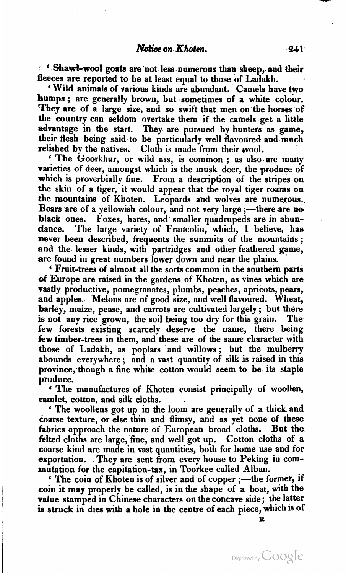Notice on Khoten. 241<br>Shawt-wool goats are not less numerous than sheep, and their fleeces are reported to be at least equal to those of Ladakh.

' Wild animals **of** various kinds are abundant. Camels have two humps; are generally brown, but sometimes of a white colour. They are of a large size, and so swift that men on the horses of the country can seldom overtake them if the camels get a litkle advantage in the start. They are puraued by hunters as game, their flesh being said to be particularly well flavoured and mnch relished by the natives. Cloth is made from their wool.

' The Goorkhur, or wild ass, is common ; as also are many varieties of deer, amongst which is the musk deer, the produce of which is proverbially fine. From a description of the stripes on the skiu of a tiger, it would appear that the royal tiger roams on the mountains of Khoten. Leopards and wolves are numerous.. Bears are of a yellowish colour, and not very large  $:-$  there are not black ones. Poxes, hares, and smaller quadrupeds are in abundance. The large variety of Francolin, which, **1** believe, hae never been described, frequents the summits of the mountains; and the lesser kinds, with partridges and other feathered game, are found in great numbers lower down and near the plains.

' Fruit-trees of almost all the sorts common in the southern parts **ef** Europe are raised in the gardens of Klioten, as vines which are vastly productive, pomegranates, plumbs, peaches, apricots, pears, and apples. Melons are of good size, and well flavoured. Wheat, barley, maize, pease, and carrots are cultivated largely; but there is not any rice grown, the soil being too dry for this grain. The few forests existing scarcely deserve the name, there being **few** timber-trees in them, and these are of the same character with those of Ladakh, as poplars and willows ; but the mulberry abounds everywhere; and a vast quantity of silk is raised in this province, though a fine white cotton would seem to be its staple produce.

' The manufactures of Khoten consist principally of **woolien,**  camlet, cotton, and silk cloths.

\* The woollens got up in the loom are generally of a thick and coarse texture, or else thin and flimsy, and as yet none of these fabrics approach the nature of European broad cloths. But the felted cloths are large, fine, and well got up. Cotton cloths of a coarse kind are made in vast quantities, both for home use and for exportation. They are sent from every house to  $P_{\text{eking}}$  in commutation for the capitation-tax, in Toorkee called Alban.

' The coin of Khoten is of silver and of copper ;- the former, if coin it may properly be called, is in the shape of a boat, with the value stamped in Chinese characters on the concave side; the latter is struck in dies with a hole in the centre of each piece, which is of

**a**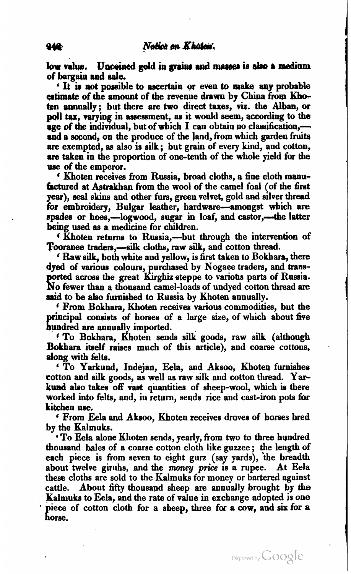low value. Unceined gold in grains and masses is also a medium of bargain **rad aale.** 

' It **is** not paoeible to ascertain or even to **make aap** probable **estimate** of the amount of the revenue drawn by China from Khotsrn annually; but there are two direct **taxes, viz.** the **Alban,** or poll tax, varying in assessment, as it would seem, according to the **age of the individual, but of which**  $I$  **can obtain no classification,** and a second, on the produce of the land, from which garden fruits are exempted, as also is silk ; but grain of every kind, and cotton, **are** taken in the proportion of one-tenth of the whole yield far the use of the emperor.

Khoten receives from Russia, broad cloths, a fine cloth manufactured at Astrakhan from the wool of the camel foal (of the first year), seal skins and other furs, green velvet, gold and silver thread for embroidery, Bulgar leather, hardware-amongst which are spades or hoes,-logwood, sugar in loaf, and castor,-the latter being used as a medicine for children.

**6** Khoten returns to Russia,—but through the intervention of Tooranee traders,—silk cloths, raw silk, and cotton thread.<br>' Raw silk, both white and yellow, is first taken to Bokhara, there

dyed of various colours, urchased by Nogaee traders, and trans**ported across the great Kirghiz steppe to various parts of Russia.** Go kwer than a thousand camel-loads of undyed cotton thread **are said** to be also furnished to Russia by Khoten annually.

Prom Bokhara, Khoten receives various commodities, but the principal consists of horses of a large size, of which about five hundred are annually imported.

**<sup>6</sup>**To Bokhara, Khoten sends silk goads, raw silk (although Bokhara itself raises much of this article), and coarse cottons, along with felts.

' To Yarkund, Indejan, Eda, and **Aksoo,** Khoten furnishes cotton and silk goods, as well aa raw silk and cotton thread. **Yarkuad** also takes off **vast** quantities of sheep-wool, which is there worked into felts, and, in return, sends rice and cast-iron pots for

kitchen we. ' From Eela and Aksoo, Khoten receives droves of horses bred by the Kalmuks.

' To Eela alone Khoten sends, yearly, from two to three hundred thousand hales of a coarse cotton cloth like guzzee ; the length of each piece is from seven to eight gurz (say yards), the breadth about twelve giruhs, and the *money price* is a rupee. At Eela these cloths are sold to the Kalmuks for money or bartered against cattle. About fifty thousand sheep are annually brought by the Kalmuks to Eela, and the rate of value in exchange adopted is one piece of cotton cloth for a sheep, three for a cow, and six for a horse.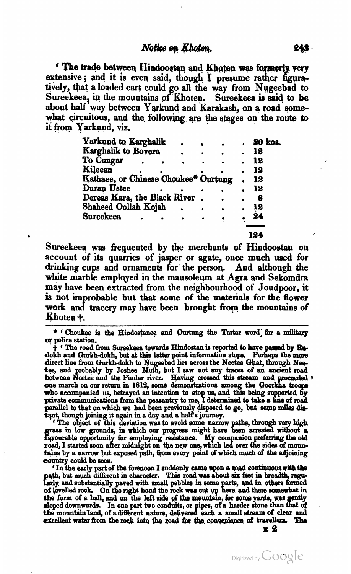The trade between Hindoostan and Khoten was formerly very extensive; and it is even said, though I presume rather figuratively, that a loaded cart could go all the way from Nugeebad to Sureekeea, in the mountains of Khoten. Sureekeea is said to be about half way between Yarkund and Karakash, on a road somewhat circuitous, and the following are the stages on the route to it from Yarkund, **viz.** 

| alaulu, Yll,                         |  |  |         |
|--------------------------------------|--|--|---------|
| Yarkund to Karghalik                 |  |  | 20 kos. |
| Karghalik to Bovera                  |  |  | 18      |
| To Cungar                            |  |  | 12      |
| Kileean                              |  |  | 12      |
| Kathaee, or Chinese Choukee* Ourtung |  |  | 12      |
| Duran Ustee                          |  |  | 12      |
| Dereas Kara, the Black River         |  |  | 8       |
| Shaheed Oollah Kojah                 |  |  | 12      |
| <b>Sureekeea</b>                     |  |  | 24      |
|                                      |  |  |         |
|                                      |  |  | 124     |

Sureekeea was frequented by the merchants of Hindoostan on account of its quarries of jasper or agate, once much used for drinking cups and ornaments for the person. And although the white marble employed in the mausoleum at Agra and Sekomdra may have been extracted from the neighbourhood of Joudpoor, it **is** not improbable but that some of the **materials** for the **flower**  work and tracery may have been brought from the mountains of Khoten +.

\* ' Choukee is the Hindostanee and Ourtung the Tartar word for a military **q police station.**<br> **q c** The road from Sureekeea towards Hindostan is reported to have passed by Ru-

+ The road from **Sureekeea** towarda Hindostan is reported **b** have **psrssd** by **I&i**dokh and Gurkh-dokh, but at this latter point information stops. Perhaps the more direct line from Gurkh-dokh to Nugeebad lies across the Neetee Ghat, through Neetee, and probably by Joshee Muth, but I saw not any traces o parallel to that on which we had been previously disposed to go, but some miles dis-<br>tant, though joining it again in a day and a half's journey.<br>
<sup>4</sup> The object of this deviation was to avoid some narrow paths, through ve

grass in low grounds, in which our progress might have been arrested without a favourable opportunity for employing resistance. My companion preferring the old **rayourable opportunity for employing resistance.** My companion pretering the old road, I started soon after midnight on the new one, which led over the sides of moun-<br>tains by a narrow but exposed path, from every point o

country could be seen. **'In the early part of the forenoon I** suddenly came upon a mad continuous with the path, but much different in character. This road was shout six feet in breadth, regu-<br>hardy and substantially paved with small pebbles in some parts, and in others formed of levelled rock. On the right hand the rock was cut up here and there somewhat in the form of a hall, and on the left side of the mountain, for some yards, was gently sloped downwards. In one part two conduits, or pipes, of a harder stone than<br>the mountain land, of a different nature, delivered each a small stream of cle eler formed<br>mewhat in<br>was gently<br>an that of<br>clear and excellent water from the rock into the road for the convenience of travellers. The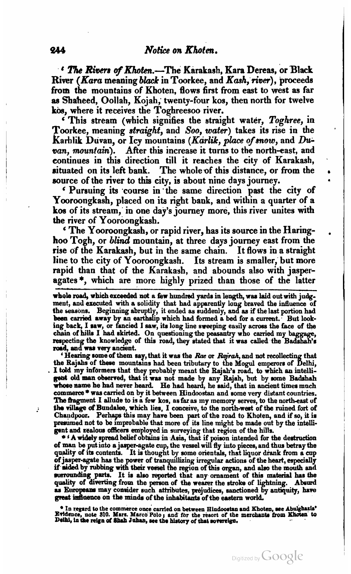<sup>2</sup> *The Rivers of Khoten.*-The Karakash, Kara Dereas, or Black River (Kara meaning black in Toorkee, and Kash, river), proceeds from the mountains of Khoten, flows first from east to west as far **ae** Shaheed, Oollah, Kojah; twenty-four kos, then north for twelve

 $\epsilon$  This stream (which signifies the straight water, Toghree, in Toorkee, meaning straight, and Soo, water) takes its rise in the Karhlik Duvan, or Icy mountains *(Karlik, place of snow*, and Duvan, mountain). After this increase it turns to the north-east. and continues in this direction till it reaches the city of Karakash, situated on its left bank. The wholeof this distance, or **from** the source of the river to **this** city, is about nine days journey.

Pursuing its course in the same direction past the city of Yooroongkash, placed on its right bank, and within a quarter of a kos of its stream, in one day's journey more, this river unites with the river of Yooroongkash.

The Yooroongkash, or rapid river, has its source in the Haring-hoo Togh, or *blind* mountain, at three days journey east from the rise of the Karakash, but in the same chain. It flows in a straight line to the city of Yooroongkash. Its stream is smaller, but more rapid than that of the Karakash, and abounds also with jasperagates \*, which are more highly prized than those of the latter

whole road, which exceeded not a few hundred yards in length, was laid out with judgment, and executed with a solidity that had apparently long braved the influence of the seasons. Beginning abruptly, it ended as suddenly, and as if the last portion had been carried away by an earthslip which had formed a bed for a current.<sup>7</sup> But looking back, I saw, or fancied I saw, its long line sweeping easily across the face of the chain of hills I had skirted. On questioning the peasantry who carried my baggage, respecting the knowledge of this road, they stated

the Rajahs of these mountains had been tributary to the Mogul emperors of Delhi,<br>I told my informers that they probably meant the Rajah's road, to which an intelligent old man observed, that it was not made by any Rajah, **The** hgment I allude to is **a** few kos, as far **as** my memory serves, to the norhast uf *thr* **dlqp** of Bnndalee, which lies, I conceive, to the **north-west** of **the** ruined fort of Chandpoor. Perhaps this may have been part of the road to Khoten, and if so, it is presumed not to be improbable that more of its line might be made out by the intelli-

gent and zealow officers employed in surveying that region of the hills.  $* A$  widely spread helief obtains in Asia, that if poison intended for the destruction of man be put into a jasper-agate cup, the vessel will fly into pieces, and thus betray the quality of its contents. It is thought by some orientals, that liquor drank from a cup of jasper-agate has the power of tranquilli if aided by rubbing with their vessel the region of this organ, and also the mouth and surrounding parts. It is also reported that any ornament of this material has the quality of diverting from the person of the wearer the stroke of lightning. Absurd as Europeans may consider such attributes, prejudices, sanctioned by antiquity, have **gmd Mwme** on the **mindr** of **the inhsbitauta** of **tbe ecrstern** world.

<sup>e</sup> In regard to the commerce once carried on between Hindoostan and Khoten, see Abulghasis'<br>Evidence, note 310. Mars. Marco Polo; and for the resort of the merchants from Khoten to<br>Delhi, in the reign of Shah Juhan, see t

Ĵ.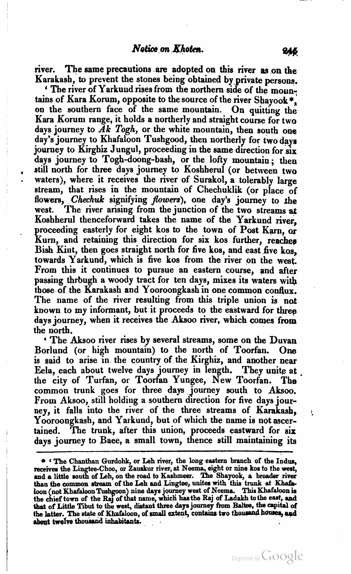river. The same precautions **are** adopted on this river as on the Karakash, to prevent the stones being obtained by,private persons.

' The river of Yarkuud rises from the northern side of the mountains of Kara Korum, opposite to the source of the river Shayook\*, on the southern face of the same mountain. On quitting the Kara Korum range, it holds a northerly and straight course for two days journey to  $\breve{A}k$  Togh, or the white mountain, then south one day's journey to Khafaloon Tushgood, then northerly for two days journey to Kirghiz Jungul, proceeding in the same direction for six days journey to Togh-doong-bash, or the lofty mountain; then still north for three days journey to Koshherul (or between two waters), where it receives the river of Surakol, a tolerably large stream, that rises in the mountain of Chechuklik (or place of flowers, Chechuk signifying *flowers*), one day's journey to the west. The river arising from the junction of the two streams at Koshherul thenceforward takes the name of the Yarkund river, proceeding easterly for eight kos to the town of Post Karn, or Kurn, and retaining this direction for six kos further, reaches Bish Kint, then goes straight north for five kos, and east five kos, towards Yarkund, which is five kos from the river on the west. From this it continues to pursue an eastern course, and after passing through a woody tract for ten days, mixes its waters with those of the Karakash and Yoorooagkash in one common conflux. The name of the river resulting from this triple union is not known to my informant, but it proceeds to the eastward for three days journey, when it receives the **Aksoo** river, which comes from the north.

The Aksoo river rises by several streams, some on the Duvan Borlund (or high mountain) to the north of Toorfan. One is said to arise in the country of the Kirghiz, and another near Eela, each about twelve days journey in length. They unite at .<br>the city of Turfan, or Toorfan Yungee, New Toorfan. The common trunk goes for three days journey south to Aksoo. From Aksoo, still holding a southern direction for five days jour-<br>ney, it falls into the river of the three streams of Karakash. ney, it falls into the river of the three streams of Karakash, ...<br>Yooroongkash, and Yarkund, but of which the name is not ascertained. The trunk, after this union, proceeds eastward for six days journey to Baee, a small town, thence still maintaining its

**<sup>6</sup>The Chanthan Qurdohk, or Leh** river, **the long eastern branch of the Indus,**   $\bullet$  'The Chanthan Gurdohk, or Leh river, the long eastern branch of the Indus, receives the Lingtee-Choo, or Zauskur river, at Neema, eight or nine kos to the west, and a little south of Leh, on the road to Kashmeer. The than the common stream of the Leh and Lingtee, unites with this trunk at Khafaloon (not Khafaloon Tushgoon) nine days journey west of Neema. This Khafaloon is<br>the chief town of the Raj of that name, which has the Raj of Ladakh to the east, and<br>that of Little Tibut to the west, distant three days jou that of Little Tibut to the west, distant three days journey from Baltee, the capital of the latter. The state of Khafaloon, of small extent, contains two thousand houses, and about twelve thousand inhabitants.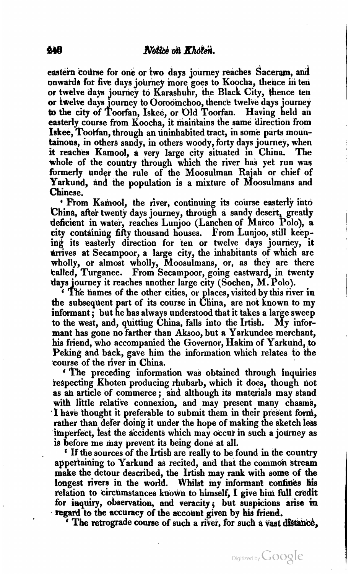eastern course for one or two days journey reaches Saceram, and onwatda for **five** days journey inore goes to Koocha, thence in ten or twelve days journey to Karashuhr, the Black City, thence ten or twelve days journey to Ooroomchoo, thence twelve days journey to the city of Toorfan, Iskee, or Old Toorfan. Having held an easterly course from Koocha, it maintains the same direction from **Iskee, Toorfan, through an uninhabited tract, in some parts moun**tainous, in others sandy, in others woody, forty days journey, when<br>it reaches Kamool, a very large city situated in China. The it reaches Kamool, a very large city situated in China. whole of the country through which the river has yet run was formerly under the rule of the Moosulman Rajah or chief of Chinese. Yarkund, and the population is a mixture of Moosulmans and

**From Kamool, the river, continuing its course easterly into** China, after twenty days journey, through a sandy desert, greatly deficient in water, reaches Lunjoo (Lanchen of Marco Polo), a city containing fifty thousand houses. From Lunjoo, still keeping its easterly direction for ten or twelve days journey, it arrives at Secampoor, a large city, the inhabitants of which are wholly, or almost wholly, Moosulmans, or, as they are there balled, Turganee. From Secampoor, going eastward, in twenty days journey it reaches another large city (Sochen, M. Polo).<br>In the names of the other cities, or places, visited by this river in

the subsequent part of its course in China, are not known to my informant; but he has always understood that it takes a large sweep<br>to the west, and, quitting China, falls into the Irtish. My inforto the west, and, quitting China, falls into the Irtish. mant has gone no farther than Aksoo, but a Yarkundee merchant, his friend, who accompanied the Governor, Hakim of Yarkund, to Peking and back, gave him the information which relates to the course of the river in China.

**The preceding information was obtained through inquiries** respectihg Khoten producing rhubarb, which it does, though not as an article of commerce; and although its materials may stand with little relative connexion, and may present many chasms, **1** have thought it preferable to submit them in their present form, rather than defer doing it under the hope of making the sketch less imperfect, lest the accidents which may occur in such a journey as is before me may prevent its being done at all.

If the sources of the Irtish are really to be found in the country appertaining to Yarkund as recited, and that the common stream make the detour described, the Irtish may rank with some of the longest rivers in the world. Whilst my informant confines his relation to circumstances known to himself, I give him **full** credit for inquiry, observation, and veracity; but suspicions arise in regard to the accuracy of the account given by his friend.

**f** The retrograde course of such a river, for such a vast distance,